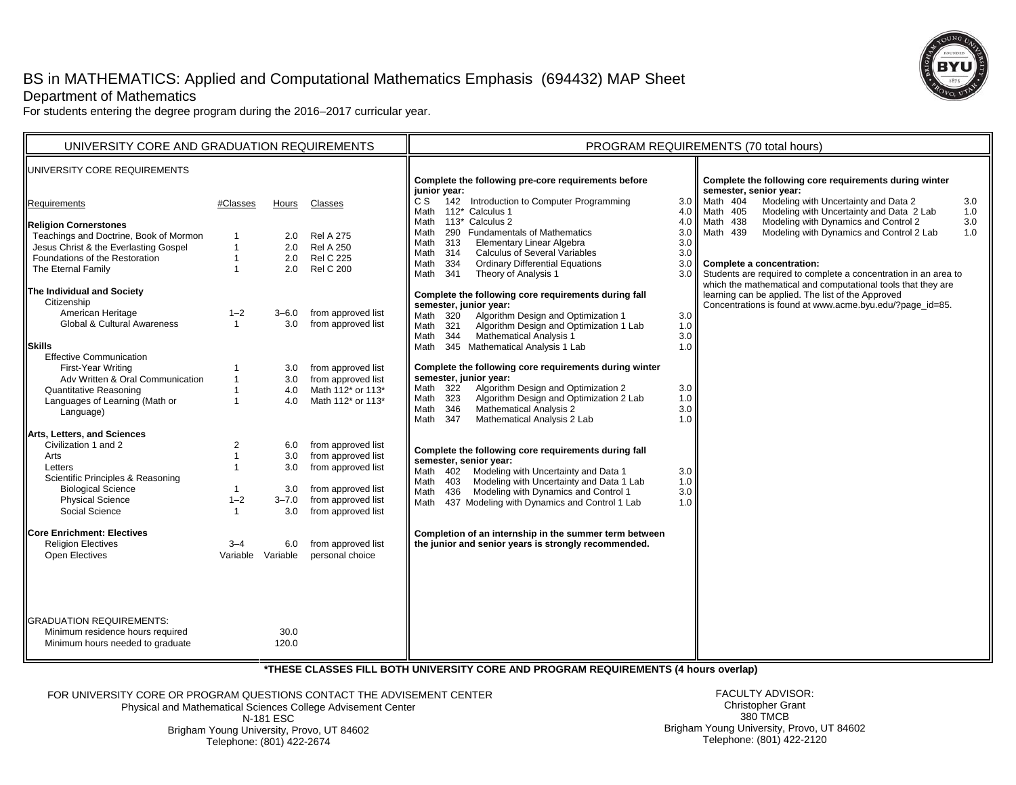# BS in MATHEMATICS: Applied and Computational Mathematics Emphasis (694432) MAP Sheet Department of Mathematics





For students entering the degree program during the 2016–2017 curricular year.

| UNIVERSITY CORE AND GRADUATION REQUIREMENTS                                                                                                                                                                                                                                                                                                                                                                                                                                                                                                                                                                                                                                                                                                        |                                                                                                                                                                                                    |                                                                                                                                             |                                                                                                                                                                                                                                                                                                                                                                                             | PROGRAM REQUIREMENTS (70 total hours)                                                                                                                                                                                                                                                                                                                                                                                                                                                                                                                                                                                                                                                                                                                                                                                                                                                                                                                                                                                                                                                                                                                                                                                                                                                                                                                                                                                                                                                                                                                                                                                                                                                                                                                                                                                                                           |  |  |
|----------------------------------------------------------------------------------------------------------------------------------------------------------------------------------------------------------------------------------------------------------------------------------------------------------------------------------------------------------------------------------------------------------------------------------------------------------------------------------------------------------------------------------------------------------------------------------------------------------------------------------------------------------------------------------------------------------------------------------------------------|----------------------------------------------------------------------------------------------------------------------------------------------------------------------------------------------------|---------------------------------------------------------------------------------------------------------------------------------------------|---------------------------------------------------------------------------------------------------------------------------------------------------------------------------------------------------------------------------------------------------------------------------------------------------------------------------------------------------------------------------------------------|-----------------------------------------------------------------------------------------------------------------------------------------------------------------------------------------------------------------------------------------------------------------------------------------------------------------------------------------------------------------------------------------------------------------------------------------------------------------------------------------------------------------------------------------------------------------------------------------------------------------------------------------------------------------------------------------------------------------------------------------------------------------------------------------------------------------------------------------------------------------------------------------------------------------------------------------------------------------------------------------------------------------------------------------------------------------------------------------------------------------------------------------------------------------------------------------------------------------------------------------------------------------------------------------------------------------------------------------------------------------------------------------------------------------------------------------------------------------------------------------------------------------------------------------------------------------------------------------------------------------------------------------------------------------------------------------------------------------------------------------------------------------------------------------------------------------------------------------------------------------|--|--|
| UNIVERSITY CORE REQUIREMENTS                                                                                                                                                                                                                                                                                                                                                                                                                                                                                                                                                                                                                                                                                                                       |                                                                                                                                                                                                    |                                                                                                                                             |                                                                                                                                                                                                                                                                                                                                                                                             | Complete the following pre-core requirements before<br>Complete the following core requirements during winter<br>semester, senior year:<br>junior year:                                                                                                                                                                                                                                                                                                                                                                                                                                                                                                                                                                                                                                                                                                                                                                                                                                                                                                                                                                                                                                                                                                                                                                                                                                                                                                                                                                                                                                                                                                                                                                                                                                                                                                         |  |  |
| Requirements                                                                                                                                                                                                                                                                                                                                                                                                                                                                                                                                                                                                                                                                                                                                       | #Classes                                                                                                                                                                                           | Hours                                                                                                                                       | Classes                                                                                                                                                                                                                                                                                                                                                                                     | 142 Introduction to Computer Programming<br>Modeling with Uncertainty and Data 2<br>C S<br>Math 404<br>3.0<br>3.0 <sub>1</sub><br>Modeling with Uncertainty and Data 2 Lab<br>112* Calculus 1<br>Math 405<br>Math<br>4.0<br>1.0                                                                                                                                                                                                                                                                                                                                                                                                                                                                                                                                                                                                                                                                                                                                                                                                                                                                                                                                                                                                                                                                                                                                                                                                                                                                                                                                                                                                                                                                                                                                                                                                                                 |  |  |
| <b>Religion Cornerstones</b><br>Teachings and Doctrine, Book of Mormon<br>Jesus Christ & the Everlasting Gospel<br>Foundations of the Restoration<br>The Eternal Family<br>The Individual and Society<br>Citizenship<br>American Heritage<br>Global & Cultural Awareness<br><b>Skills</b><br><b>Effective Communication</b><br>First-Year Writing<br>Adv Written & Oral Communication<br><b>Quantitative Reasoning</b><br>Languages of Learning (Math or<br>Language)<br>Arts, Letters, and Sciences<br>Civilization 1 and 2<br>Arts<br>Letters<br>Scientific Principles & Reasoning<br><b>Biological Science</b><br><b>Physical Science</b><br>Social Science<br><b>Core Enrichment: Electives</b><br><b>Religion Electives</b><br>Open Electives | $\mathbf{1}$<br>$\mathbf{1}$<br>$\mathbf{1}$<br>$1 - 2$<br>$\overline{1}$<br>$\mathbf{1}$<br>$\mathbf{1}$<br>$\overline{1}$<br>2<br>$\mathbf{1}$<br>$1 - 2$<br>$\mathbf{1}$<br>$3 - 4$<br>Variable | 2.0<br>2.0<br>2.0<br>2.0<br>$3 - 6.0$<br>3.0<br>3.0<br>3.0<br>4.0<br>4.0<br>6.0<br>3.0<br>3.0<br>3.0<br>$3 - 7.0$<br>3.0<br>6.0<br>Variable | <b>Rel A 275</b><br><b>Rel A 250</b><br><b>Rel C 225</b><br><b>Rel C 200</b><br>from approved list<br>from approved list<br>from approved list<br>from approved list<br>Math 112* or 113*<br>Math 112* or 113*<br>from approved list<br>from approved list<br>from approved list<br>from approved list<br>from approved list<br>from approved list<br>from approved list<br>personal choice | 113* Calculus 2<br>Modeling with Dynamics and Control 2<br>Math 438<br>3.0<br>Math<br>4.0<br>Modeling with Dynamics and Control 2 Lab<br>290 Fundamentals of Mathematics<br>Math 439<br>Math<br>3.0<br>1.0<br>313<br><b>Elementary Linear Algebra</b><br>3.0<br>Math<br><b>Calculus of Several Variables</b><br>Math<br>314<br>3.0<br><b>Ordinary Differential Equations</b><br>334<br>3.0 <sub>1</sub><br>Complete a concentration:<br>Math<br>341<br>Theory of Analysis 1<br>Students are required to complete a concentration in an area to<br>Math<br>3.0 <sub>1</sub><br>which the mathematical and computational tools that they are<br>learning can be applied. The list of the Approved<br>Complete the following core requirements during fall<br>Concentrations is found at www.acme.byu.edu/?page id=85.<br>semester, junior year:<br>Math 320<br>Algorithm Design and Optimization 1<br>3.0<br>Algorithm Design and Optimization 1 Lab<br>1.0<br>Math 321<br>Mathematical Analysis 1<br>3.0<br>Math<br>344<br>1.0<br>345 Mathematical Analysis 1 Lab<br>Math<br>Complete the following core requirements during winter<br>semester, junior year:<br>Algorithm Design and Optimization 2<br>Math 322<br>3.0<br>Algorithm Design and Optimization 2 Lab<br>323<br>1.0<br>Math<br><b>Mathematical Analysis 2</b><br>346<br>3.0<br>Math<br>Mathematical Analysis 2 Lab<br>Math<br>347<br>1.0<br>Complete the following core requirements during fall<br>semester, senior year:<br>Modeling with Uncertainty and Data 1<br>Math 402<br>3.0<br>Modeling with Uncertainty and Data 1 Lab<br>Math 403<br>1.0<br>3.0<br>436<br>Modeling with Dynamics and Control 1<br>Math<br>437 Modeling with Dynamics and Control 1 Lab<br>Math<br>1.0<br>Completion of an internship in the summer term between<br>the junior and senior years is strongly recommended. |  |  |
| <b>GRADUATION REQUIREMENTS:</b><br>Minimum residence hours required<br>Minimum hours needed to graduate                                                                                                                                                                                                                                                                                                                                                                                                                                                                                                                                                                                                                                            |                                                                                                                                                                                                    | 30.0<br>120.0                                                                                                                               |                                                                                                                                                                                                                                                                                                                                                                                             |                                                                                                                                                                                                                                                                                                                                                                                                                                                                                                                                                                                                                                                                                                                                                                                                                                                                                                                                                                                                                                                                                                                                                                                                                                                                                                                                                                                                                                                                                                                                                                                                                                                                                                                                                                                                                                                                 |  |  |

**\*THESE CLASSES FILL BOTH UNIVERSITY CORE AND PROGRAM REQUIREMENTS (4 hours overlap)**

FOR UNIVERSITY CORE OR PROGRAM QUESTIONS CONTACT THE ADVISEMENT CENTERPhysical and Mathematical Sciences College Advisement Center N-181 ESC

 Brigham Young University, Provo, UT 84602 Telephone: (801) 422-2674

FACULTY ADVISOR: Christopher Grant 380 TMCB Brigham Young University, Provo, UT 84602 Telephone: (801) 422-2120